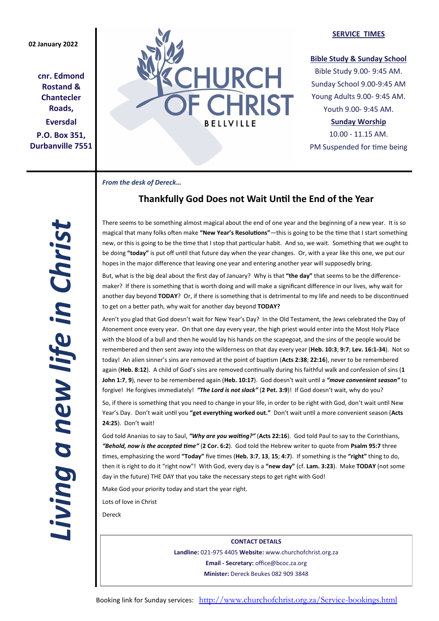## **02 January 2022**

**cnr. Edmond Rostand & Chantecler Roads, Eversdal P.O. Box 351, Durbanville 7551**



## **SERVICE TIMES**

## **Bible Study & Sunday School**

Bible Study 9.00- 9:45 AM. Sunday School 9.00-9:45 AM Young Adults 9.00- 9:45 AM. Youth 9.00- 9:45 AM.

## **Sunday Worship**

10.00 - 11.15 AM. PM Suspended for time being

*From the desk of Dereck…* 

# **Thankfully God Does not Wait Until the End of the Year**

There seems to be something almost magical about the end of one year and the beginning of a new year. It is so magical that many folks often make **"New Year's Resolutions"**—this is going to be the time that I start something new, or this is going to be the time that I stop that particular habit. And so, we wait. Something that we ought to be doing **"today"** is put off until that future day when the year changes. Or, with a year like this one, we put our hopes in the major difference that leaving one year and entering another year will supposedly bring.

But, what is the big deal about the first day of January? Why is that **"the day"** that seems to be the differencemaker? If there is something that is worth doing and will make a significant difference in our lives, why wait for another day beyond **TODAY**? Or, if there is something that is detrimental to my life and needs to be discontinued to get on a better path, why wait for another day beyond **TODAY?**

Aren't you glad that God doesn't wait for New Year's Day? In the Old Testament, the Jews celebrated the Day of Atonement once every year. On that one day every year, the high priest would enter into the Most Holy Place with the blood of a bull and then he would lay his hands on the scapegoat, and the sins of the people would be remembered and then sent away into the wilderness on that day every year (**Heb. 10:3**; **9:7**; **Lev. 16:1-34**). Not so today! An alien sinner's sins are removed at the point of baptism (**Acts 2:38**; **22:16**), never to be remembered again (**Heb. 8:12**). A child of God's sins are removed continually during his faithful walk and confession of sins (**1 John 1:7**, **9**), never to be remembered again (**Heb. 10:17**). God doesn't wait until a *"move convenient season"* to forgive! He forgives immediately! *"The Lord is not slack"* (**2 Pet. 3:9**)! If God doesn't wait, why do you?

So, if there is something that you need to change in your life, in order to be right with God, don't wait until New Year's Day. Don't wait until you **"get everything worked out."** Don't wait until a more convenient season (**Acts 24:25**). Don't wait!

God told Ananias to say to Saul, *"Why are you waiting?"* (**Acts 22:16**). God told Paul to say to the Corinthians, *"Behold, now is the accepted time"* (**2 Cor. 6:2**). God told the Hebrew writer to quote from **Psalm 95:7** three times, emphasizing the word **"Today"** five times (**Heb. 3:7**, **13**, **15**; **4:7**). If something is the **"right"** thing to do, then it is right to do it "right now"! With God, every day is a **"new day"** (cf. **Lam. 3:23**). Make **TODAY** (not some day in the future) THE DAY that you take the necessary steps to get right with God!

Make God your priority today and start the year right.

Lots of love in Christ

Dereck

**CONTACT DETAILS Landline:** 021-975 4405 **Website:** www.churchofchrist.org.za **Email - Secretary:** office@bcoc.za.org **Minister:** Dereck Beukes 082 909 3848